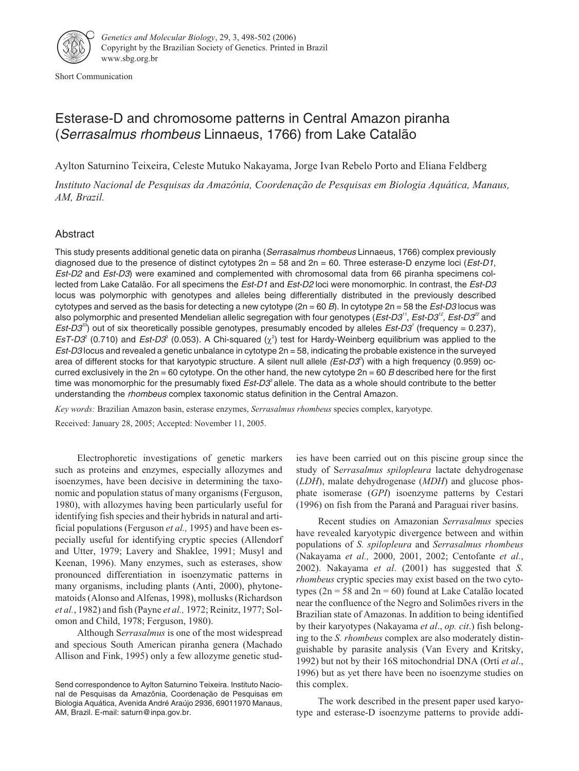

Short Communication

# Esterase-D and chromosome patterns in Central Amazon piranha (Serrasalmus rhombeus Linnaeus, 1766) from Lake Catalão

Aylton Saturnino Teixeira, Celeste Mutuko Nakayama, Jorge Ivan Rebelo Porto and Eliana Feldberg

*Instituto Nacional de Pesquisas da Amazônia, Coordenação de Pesquisas em Biologia Aquática, Manaus, AM, Brazil.*

## Abstract

This study presents additional genetic data on piranha (Serrasalmus rhombeus Linnaeus, 1766) complex previously diagnosed due to the presence of distinct cytotypes  $2n = 58$  and  $2n = 60$ . Three esterase-D enzyme loci (*Est-D1*, Est-D2 and Est-D3) were examined and complemented with chromosomal data from 66 piranha specimens collected from Lake Catalão. For all specimens the Est-D1 and Est-D2 loci were monomorphic. In contrast, the Est-D3 locus was polymorphic with genotypes and alleles being differentially distributed in the previously described cytotypes and served as the basis for detecting a new cytotype  $(2n = 60 B)$ . In cytotype  $2n = 58$  the *Est-D3* locus was also polymorphic and presented Mendelian allelic segregation with four genotypes (*Est-D3<sup>11</sup>, Est-D3<sup>12</sup>, Est-D3<sup>22</sup> a*nd Est-D3 $^{39}$  out of six theoretically possible genotypes, presumably encoded by alleles Est-D3' (frequency = 0.237), EsT-D $3^{\circ}$  (0.710) and Est-D $3^{\circ}$  (0.053). A Chi-squared ( $\chi^2$ ) test for Hardy-Weinberg equilibrium was applied to the Est-D3 locus and revealed a genetic unbalance in cytotype 2n = 58, indicating the probable existence in the surveyed area of different stocks for that karyotypic structure. A silent null allele  $(Est-D3^o)$  with a high frequency (0.959) occurred exclusively in the  $2n = 60$  cytotype. On the other hand, the new cytotype  $2n = 60$  B described here for the first time was monomorphic for the presumably fixed *Est-D3*° allele. The data as a whole should contribute to the better understanding the rhombeus complex taxonomic status definition in the Central Amazon.

*Key words:* Brazilian Amazon basin, esterase enzymes, *Serrasalmus rhombeus* species complex, karyotype.

Received: January 28, 2005; Accepted: November 11, 2005.

Electrophoretic investigations of genetic markers such as proteins and enzymes, especially allozymes and isoenzymes, have been decisive in determining the taxonomic and population status of many organisms (Ferguson, 1980), with allozymes having been particularly useful for identifying fish species and their hybrids in natural and artificial populations (Ferguson *et al.,* 1995) and have been especially useful for identifying cryptic species (Allendorf and Utter, 1979; Lavery and Shaklee, 1991; Musyl and Keenan, 1996). Many enzymes, such as esterases, show pronounced differentiation in isoenzymatic patterns in many organisms, including plants (Anti, 2000), phytonematoids (Alonso and Alfenas, 1998), mollusks (Richardson *et al.*, 1982) and fish (Payne *et al.,* 1972; Reinitz, 1977; Solomon and Child, 1978; Ferguson, 1980).

Although S*errasalmus* is one of the most widespread and specious South American piranha genera (Machado Allison and Fink, 1995) only a few allozyme genetic studies have been carried out on this piscine group since the study of S*errasalmus spilopleura* lactate dehydrogenase (*LDH*), malate dehydrogenase (*MDH*) and glucose phosphate isomerase (*GPI*) isoenzyme patterns by Cestari (1996) on fish from the Paraná and Paraguai river basins.

Recent studies on Amazonian *Serrasalmus* species have revealed karyotypic divergence between and within populations of *S. spilopleura* and *Serrasalmus rhombeus* (Nakayama *et al.,* 2000, 2001, 2002; Centofante *et al.*, 2002). Nakayama *et al*. (2001) has suggested that *S. rhombeus* cryptic species may exist based on the two cytotypes ( $2n = 58$  and  $2n = 60$ ) found at Lake Catalão located near the confluence of the Negro and Solimões rivers in the Brazilian state of Amazonas. In addition to being identified by their karyotypes (Nakayama *et al*., *op. cit*.) fish belonging to the *S. rhombeus* complex are also moderately distinguishable by parasite analysis (Van Every and Kritsky, 1992) but not by their 16S mitochondrial DNA (Ortí *et al*., 1996) but as yet there have been no isoenzyme studies on this complex.

The work described in the present paper used karyotype and esterase-D isoenzyme patterns to provide addi-

Send correspondence to Aylton Saturnino Teixeira. Instituto Nacional de Pesquisas da Amazônia, Coordenação de Pesquisas em Biologia Aquática, Avenida André Araújo 2936, 69011970 Manaus, AM, Brazil. E-mail: saturn@inpa.gov.br.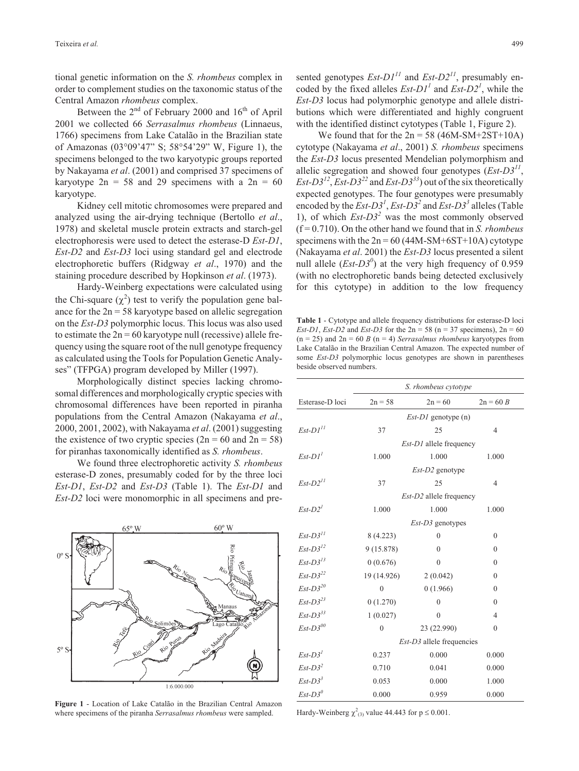tional genetic information on the *S. rhombeus* complex in order to complement studies on the taxonomic status of the Central Amazon *rhombeus* complex.

Between the  $2<sup>nd</sup>$  of February 2000 and  $16<sup>th</sup>$  of April 2001 we collected 66 *Serrasalmus rhombeus* (Linnaeus, 1766) specimens from Lake Catalão in the Brazilian state of Amazonas (03°09'47" S; 58°54'29" W, Figure 1), the specimens belonged to the two karyotypic groups reported by Nakayama *et al*. (2001) and comprised 37 specimens of karyotype  $2n = 58$  and 29 specimens with a  $2n = 60$ karyotype.

Kidney cell mitotic chromosomes were prepared and analyzed using the air-drying technique (Bertollo *et al*., 1978) and skeletal muscle protein extracts and starch-gel electrophoresis were used to detect the esterase-D *Est-D1*, *Est-D2* and *Est-D3* loci using standard gel and electrode electrophoretic buffers (Ridgway *et al*., 1970) and the staining procedure described by Hopkinson *et al*. (1973).

Hardy-Weinberg expectations were calculated using the Chi-square  $(\chi^2)$  test to verify the population gene balance for the  $2n = 58$  karyotype based on allelic segregation on the *Est-D3* polymorphic locus. This locus was also used to estimate the  $2n = 60$  karyotype null (recessive) allele frequency using the square root of the null genotype frequency as calculated using the Tools for Population Genetic Analyses" (TFPGA) program developed by Miller (1997).

Morphologically distinct species lacking chromosomal differences and morphologically cryptic species with chromosomal differences have been reported in piranha populations from the Central Amazon (Nakayama *et al*., 2000, 2001, 2002), with Nakayama *et al*. (2001) suggesting the existence of two cryptic species  $(2n = 60 \text{ and } 2n = 58)$ for piranhas taxonomically identified as *S. rhombeus*.

We found three electrophoretic activity *S. rhombeus* esterase-D zones, presumably coded for by the three loci *Est-D1*, *Est-D2* and *Est-D3* (Table 1). The *Est-D1* and *Est-D2* loci were monomorphic in all specimens and pre-



**Figure 1** - Location of Lake Catalão in the Brazilian Central Amazon where specimens of the piranha *Serrasalmus rhombeus* were sampled.

sented genotypes  $Est-D1^{11}$  and  $Est-D2^{11}$ , presumably encoded by the fixed alleles  $Est-D1<sup>1</sup>$  and  $Est-D2<sup>1</sup>$ , while the *Est-D3* locus had polymorphic genotype and allele distributions which were differentiated and highly congruent with the identified distinct cytotypes (Table 1, Figure 2).

We found that for the  $2n = 58 (46M-SM+2ST+10A)$ cytotype (Nakayama *et al*., 2001) *S. rhombeus* specimens the *Est-D3* locus presented Mendelian polymorphism and allelic segregation and showed four genotypes (*Est-D3<sup>11</sup>*, *Est-D3*<sup> $12$ </sup>, *Est-D3*<sup> $22$ </sup> and *Est-D3*<sup> $33$ </sup>) out of the six theoretically expected genotypes. The four genotypes were presumably encoded by the  $Est-D3<sup>1</sup>$ ,  $Est-D3<sup>2</sup>$  and  $Est-D3<sup>3</sup>$  alleles (Table 1), of which *Est-D3<sup>2</sup>* was the most commonly observed (f = 0.710). On the other hand we found that in *S. rhombeus* specimens with the  $2n = 60 (44M-SM+6ST+10A)$  cytotype (Nakayama *et al*. 2001) the *Est-D3* locus presented a silent null allele  $(Est-D3^0)$  at the very high frequency of 0.959 (with no electrophoretic bands being detected exclusively for this cytotype) in addition to the low frequency

**Table 1** - Cytotype and allele frequency distributions for esterase-D loci *Est-D1*, *Est-D2* and *Est-D3* for the  $2n = 58$  ( $n = 37$  specimens),  $2n = 60$  $(n = 25)$  and  $2n = 60$  *B*  $(n = 4)$  *Serrasalmus rhombeus* karyotypes from Lake Catalão in the Brazilian Central Amazon. The expected number of some *Est-D3* polymorphic locus genotypes are shown in parentheses beside observed numbers.

|                        | S. rhombeus cytotype           |              |                |
|------------------------|--------------------------------|--------------|----------------|
| Esterase-D loci        | $2n = 58$                      | $2n = 60$    | $2n = 60 B$    |
|                        | $Est-D1$ genotype (n)          |              |                |
| $Est-D1$ <sup>11</sup> | 37                             | 25           | $\overline{4}$ |
|                        | <i>Est-D1</i> allele frequency |              |                |
| $Est-D11$              | 1.000                          | 1.000        | 1.000          |
|                        | Est-D2 genotype                |              |                |
| $Est-D2$ <sup>11</sup> | 37                             | 25           | $\overline{4}$ |
|                        | <i>Est-D2</i> allele frequency |              |                |
| $Est-D21$              | 1.000                          | 1.000        | 1.000          |
|                        | $Est-D3$ genotypes             |              |                |
| $Est-D311$             | 8(4.223)                       | $\mathbf{0}$ | $\mathbf{0}$   |
| $Est-D3^{12}$          | 9 (15.878)                     | $\theta$     | $\theta$       |
| $Est-D3$ <sup>13</sup> | 0(0.676)                       | $\mathbf{0}$ | $\mathbf{0}$   |
| $Est-D3^{22}$          | 19 (14.926)                    | 2(0.042)     | $\theta$       |
| $Est-D3^{20}$          | $\overline{0}$                 | 0(1.966)     | $\mathbf{0}$   |
| $Est-D323$             | 0(1.270)                       | $\theta$     | $\theta$       |
| $Est-D3^{33}$          | 1(0.027)                       | $\theta$     | $\overline{4}$ |
| $Est-D3^{00}$          | $\overline{0}$                 | 23 (22.990)  | $\mathbf{0}$   |
|                        | $Est-D3$ allele frequencies    |              |                |
| $Est-D31$              | 0.237                          | 0.000        | 0.000          |
| $Est-D32$              | 0.710                          | 0.041        | 0.000          |
| $Est-D3^3$             | 0.053                          | 0.000        | 1.000          |
| $Est-D3^0$             | 0.000                          | 0.959        | 0.000          |

Hardy-Weinberg  $\chi^2_{(3)}$  value 44.443 for  $p \le 0.001$ .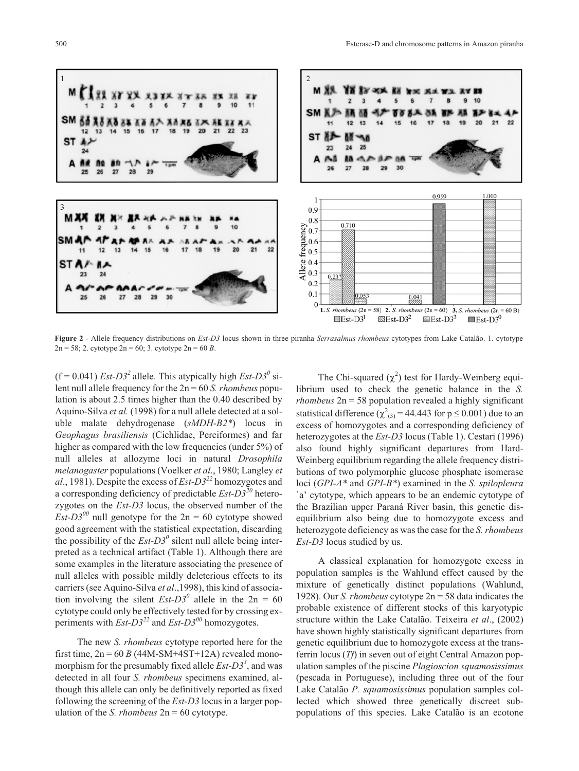

**Figure 2** - Allele frequency distributions on *Est-D3* locus shown in three piranha *Serrasalmus rhombeus* cytotypes from Lake Catalão. 1. cytotype 2n = 58; 2. cytotype 2n = 60; 3. cytotype 2n = 60 *B*.

 $(f = 0.041)$  *Est-D3<sup>2</sup>* allele. This atypically high *Est-D3<sup>0</sup>* silent null allele frequency for the 2n = 60 *S. rhombeus* population is about 2.5 times higher than the 0.40 described by Aquino-Silva *et al.* (1998) for a null allele detected at a soluble malate dehydrogenase (*sMDH-B2\**) locus in *Geophagus brasiliensis* (Cichlidae, Perciformes) and far higher as compared with the low frequencies (under 5%) of null alleles at allozyme loci in natural *Drosophila melanogaster* populations (Voelker *et al*., 1980; Langley *et al*., 1981). Despite the excess of *Est-D3<sup>22</sup>* homozygotes and a corresponding deficiency of predictable *Est-D3<sup>20</sup>* heterozygotes on the *Est-D3* locus, the observed number of the *Est-D3*<sup> $00$ </sup> null genotype for the 2n = 60 cytotype showed good agreement with the statistical expectation, discarding the possibility of the  $Est-D3<sup>0</sup>$  silent null allele being interpreted as a technical artifact (Table 1). Although there are some examples in the literature associating the presence of null alleles with possible mildly deleterious effects to its carriers (see Aquino-Silva *et al*.,1998), this kind of association involving the silent  $\text{Est-}D3^0$  allele in the  $2n = 60$ cytotype could only be effectively tested for by crossing experiments with  $Est-D3^{22}$  and  $Est-D3^{00}$  homozygotes.

The new *S. rhombeus* cytotype reported here for the first time,  $2n = 60 B (44M-SM+4ST+12A)$  revealed monomorphism for the presumably fixed allele *Est-D3<sup>3</sup>* , and was detected in all four *S. rhombeus* specimens examined, although this allele can only be definitively reported as fixed following the screening of the *Est-D3* locus in a larger population of the *S. rhombeus* 2n = 60 cytotype.

The Chi-squared  $(\chi^2)$  test for Hardy-Weinberg equilibrium used to check the genetic balance in the *S. rhombeus* 2n = 58 population revealed a highly significant statistical difference ( $\chi^2_{(3)}$  = 44.443 for p  $\leq$  0.001) due to an excess of homozygotes and a corresponding deficiency of heterozygotes at the *Est-D3* locus (Table 1). Cestari (1996) also found highly significant departures from Hard-Weinberg equilibrium regarding the allele frequency distributions of two polymorphic glucose phosphate isomerase loci (*GPI-A\** and *GPI-B\**) examined in the *S. spilopleura* `a' cytotype, which appears to be an endemic cytotype of the Brazilian upper Paraná River basin, this genetic disequilibrium also being due to homozygote excess and heterozygote deficiency as was the case for the *S. rhombeus Est-D3* locus studied by us.

A classical explanation for homozygote excess in population samples is the Wahlund effect caused by the mixture of genetically distinct populations (Wahlund, 1928). Our *S. rhombeus* cytotype 2n = 58 data indicates the probable existence of different stocks of this karyotypic structure within the Lake Catalão. Teixeira *et al*., (2002) have shown highly statistically significant departures from genetic equilibrium due to homozygote excess at the transferrin locus (*Tf*) in seven out of eight Central Amazon population samples of the piscine *Plagioscion squamosissimus* (pescada in Portuguese), including three out of the four Lake Catalão *P. squamosissimus* population samples collected which showed three genetically discreet subpopulations of this species. Lake Catalão is an ecotone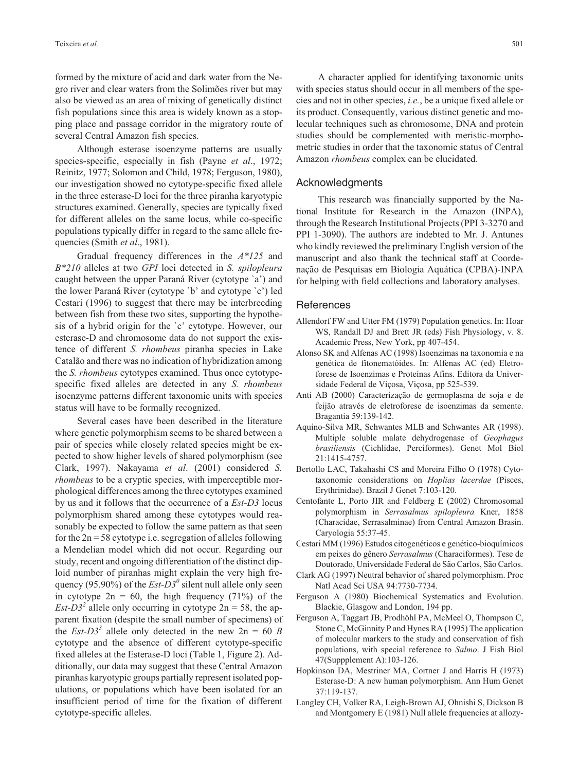formed by the mixture of acid and dark water from the Negro river and clear waters from the Solimões river but may also be viewed as an area of mixing of genetically distinct fish populations since this area is widely known as a stopping place and passage corridor in the migratory route of several Central Amazon fish species.

Although esterase isoenzyme patterns are usually species-specific, especially in fish (Payne *et al*., 1972; Reinitz, 1977; Solomon and Child, 1978; Ferguson, 1980), our investigation showed no cytotype-specific fixed allele in the three esterase-D loci for the three piranha karyotypic structures examined. Generally, species are typically fixed for different alleles on the same locus, while co-specific populations typically differ in regard to the same allele frequencies (Smith *et al*., 1981).

Gradual frequency differences in the *A\*125* and *B\*210* alleles at two *GPI* loci detected in *S. spilopleura* caught between the upper Paraná River (cytotype `a') and the lower Paraná River (cytotype `b' and cytotype `c') led Cestari (1996) to suggest that there may be interbreeding between fish from these two sites, supporting the hypothesis of a hybrid origin for the `c' cytotype. However, our esterase-D and chromosome data do not support the existence of different *S. rhombeus* piranha species in Lake Catalão and there was no indication of hybridization among the *S. rhombeus* cytotypes examined. Thus once cytotypespecific fixed alleles are detected in any *S. rhombeus* isoenzyme patterns different taxonomic units with species status will have to be formally recognized.

Several cases have been described in the literature where genetic polymorphism seems to be shared between a pair of species while closely related species might be expected to show higher levels of shared polymorphism (see Clark, 1997). Nakayama *et al*. (2001) considered *S. rhombeus* to be a cryptic species, with imperceptible morphological differences among the three cytotypes examined by us and it follows that the occurrence of a *Est-D3* locus polymorphism shared among these cytotypes would reasonably be expected to follow the same pattern as that seen for the  $2n = 58$  cytotype i.e. segregation of alleles following a Mendelian model which did not occur. Regarding our study, recent and ongoing differentiation of the distinct diploid number of piranhas might explain the very high frequency (95.90%) of the  $Est-D3<sup>0</sup>$  silent null allele only seen in cytotype  $2n = 60$ , the high frequency (71%) of the *Est-D3<sup>2</sup>* allele only occurring in cytotype  $2n = 58$ , the apparent fixation (despite the small number of specimens) of the *Est-D3*<sup>3</sup> allele only detected in the new  $2n = 60 B$ cytotype and the absence of different cytotype-specific fixed alleles at the Esterase-D loci (Table 1, Figure 2). Additionally, our data may suggest that these Central Amazon piranhas karyotypic groups partially represent isolated populations, or populations which have been isolated for an insufficient period of time for the fixation of different cytotype-specific alleles.

A character applied for identifying taxonomic units with species status should occur in all members of the species and not in other species, *i.e.*, be a unique fixed allele or

its product. Consequently, various distinct genetic and molecular techniques such as chromosome, DNA and protein studies should be complemented with meristic-morphometric studies in order that the taxonomic status of Central Amazon *rhombeus* complex can be elucidated.

#### Acknowledgments

This research was financially supported by the National Institute for Research in the Amazon (INPA), through the Research Institutional Projects (PPI 3-3270 and PPI 1-3090). The authors are indebted to Mr. J. Antunes who kindly reviewed the preliminary English version of the manuscript and also thank the technical staff at Coordenação de Pesquisas em Biologia Aquática (CPBA)-INPA for helping with field collections and laboratory analyses.

#### **References**

- Allendorf FW and Utter FM (1979) Population genetics. In: Hoar WS, Randall DJ and Brett JR (eds) Fish Physiology, v. 8. Academic Press, New York, pp 407-454.
- Alonso SK and Alfenas AC (1998) Isoenzimas na taxonomia e na genética de fitonematóides. In: Alfenas AC (ed) Eletroforese de Isoenzimas e Proteínas Afins. Editora da Universidade Federal de Viçosa, Viçosa, pp 525-539.
- Anti AB (2000) Caracterização de germoplasma de soja e de feijão através de eletroforese de isoenzimas da semente. Bragantia 59:139-142.
- Aquino-Silva MR, Schwantes MLB and Schwantes AR (1998). Multiple soluble malate dehydrogenase of *Geophagus brasiliensis* (Cichlidae, Perciformes). Genet Mol Biol 21:1415-4757.
- Bertollo LAC, Takahashi CS and Moreira Filho O (1978) Cytotaxonomic considerations on *Hoplias lacerdae* (Pisces, Erythrinidae). Brazil J Genet 7:103-120.
- Centofante L, Porto JIR and Feldberg E (2002) Chromosomal polymorphism in *Serrasalmus spilopleura* Kner, 1858 (Characidae, Serrasalminae) from Central Amazon Brasin. Caryologia 55:37-45.
- Cestari MM (1996) Estudos citogenéticos e genético-bioquímicos em peixes do gênero *Serrasalmus* (Characiformes). Tese de Doutorado, Universidade Federal de São Carlos, São Carlos.
- Clark AG (1997) Neutral behavior of shared polymorphism. Proc Natl Acad Sci USA 94:7730-7734.
- Ferguson A (1980) Biochemical Systematics and Evolution. Blackie, Glasgow and London, 194 pp.
- Ferguson A, Taggart JB, Prodhöhl PA, McMeel O, Thompson C, Stone C, McGinnity P and Hynes RA (1995) The application of molecular markers to the study and conservation of fish populations, with special reference to *Salmo*. J Fish Biol 47(Suppplement A):103-126.
- Hopkinson DA, Mestriner MA, Cortner J and Harris H (1973) Esterase-D: A new human polymorphism. Ann Hum Genet 37:119-137.
- Langley CH, Volker RA, Leigh-Brown AJ, Ohnishi S, Dickson B and Montgomery E (1981) Null allele frequencies at allozy-